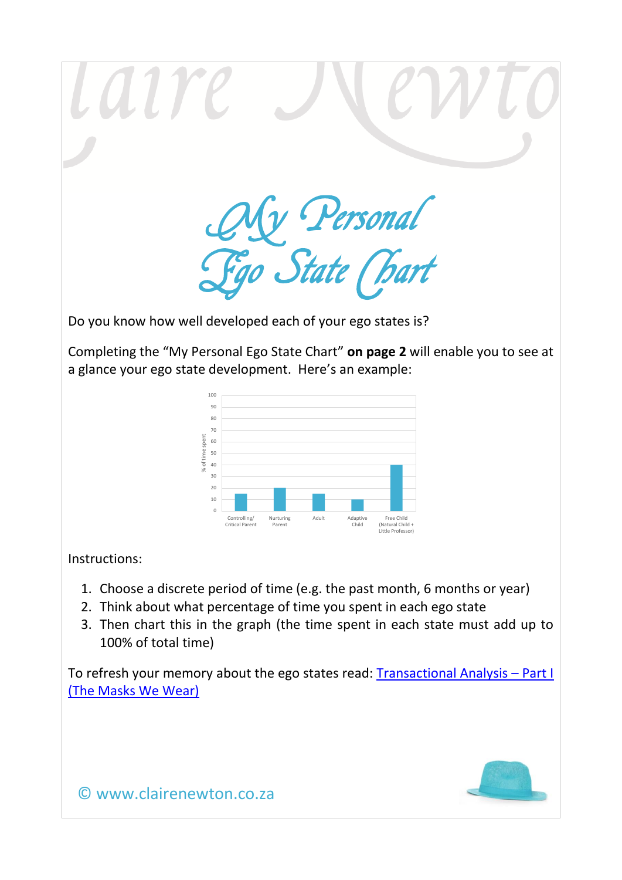Laire My Personal Ego State Chart

Do you know how well developed each of your ego states is?

Completing the "My Personal Ego State Chart" **on page 2** will enable you to see at a glance your ego state development. Here's an example:



Instructions:

- 1. Choose a discrete period of time (e.g. the past month, 6 months or year)
- 2. Think about what percentage of time you spent in each ego state
- 3. Then chart this in the graph (the time spent in each state must add up to 100% of total time)

To refresh your memory about the ego states read: [Transactional Analysis](http://www.clairenewton.co.za/my-articles/transactional-analysis-part1-the-masks-we-wear.html) – Part I [\(The Masks We Wear\)](http://www.clairenewton.co.za/my-articles/transactional-analysis-part1-the-masks-we-wear.html)



© www.clairenewton.co.za